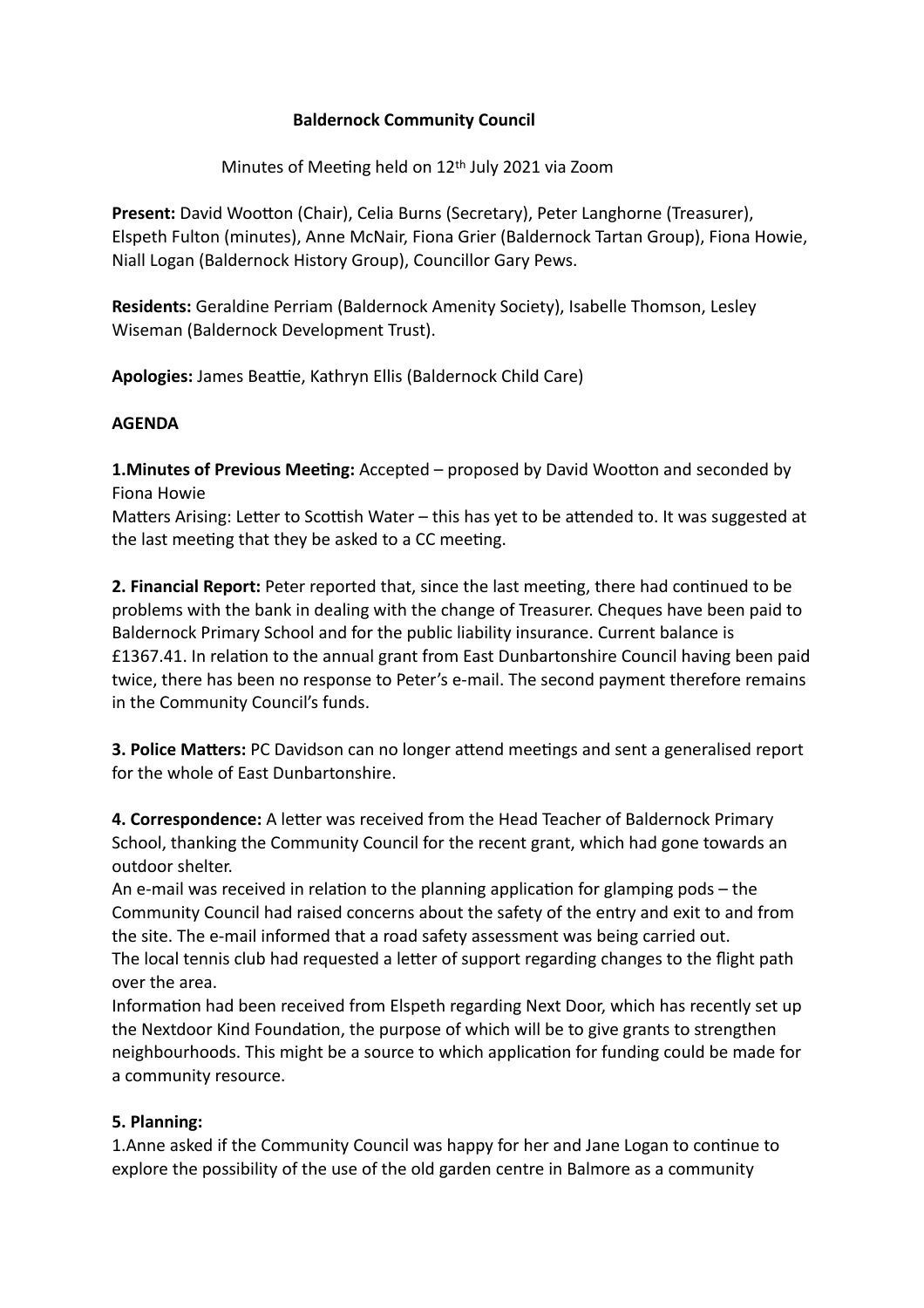## **Baldernock Community Council**

Minutes of Meeting held on 12<sup>th</sup> July 2021 via Zoom

Present: David Wootton (Chair), Celia Burns (Secretary), Peter Langhorne (Treasurer), Elspeth Fulton (minutes), Anne McNair, Fiona Grier (Baldernock Tartan Group), Fiona Howie, Niall Logan (Baldernock History Group), Councillor Gary Pews.

**Residents:** Geraldine Perriam (Baldernock Amenity Society), Isabelle Thomson, Lesley Wiseman (Baldernock Development Trust).

Apologies: James Beattie, Kathryn Ellis (Baldernock Child Care)

## **AGENDA**

**1. Minutes of Previous Meeting:** Accepted – proposed by David Wootton and seconded by Fiona Howie

Matters Arising: Letter to Scottish Water – this has yet to be attended to. It was suggested at the last meeting that they be asked to a CC meeting.

**2. Financial Report:** Peter reported that, since the last meeting, there had continued to be problems with the bank in dealing with the change of Treasurer. Cheques have been paid to Baldernock Primary School and for the public liability insurance. Current balance is £1367.41. In relation to the annual grant from East Dunbartonshire Council having been paid twice, there has been no response to Peter's e-mail. The second payment therefore remains in the Community Council's funds.

**3. Police Matters:** PC Davidson can no longer attend meetings and sent a generalised report for the whole of East Dunbartonshire.

**4. Correspondence:** A letter was received from the Head Teacher of Baldernock Primary School, thanking the Community Council for the recent grant, which had gone towards an outdoor shelter.

An e-mail was received in relation to the planning application for glamping pods  $-$  the Community Council had raised concerns about the safety of the entry and exit to and from the site. The e-mail informed that a road safety assessment was being carried out. The local tennis club had requested a letter of support regarding changes to the flight path over the area.

Information had been received from Elspeth regarding Next Door, which has recently set up the Nextdoor Kind Foundation, the purpose of which will be to give grants to strengthen neighbourhoods. This might be a source to which application for funding could be made for a community resource.

## **5. Planning:**

1. Anne asked if the Community Council was happy for her and Jane Logan to continue to explore the possibility of the use of the old garden centre in Balmore as a community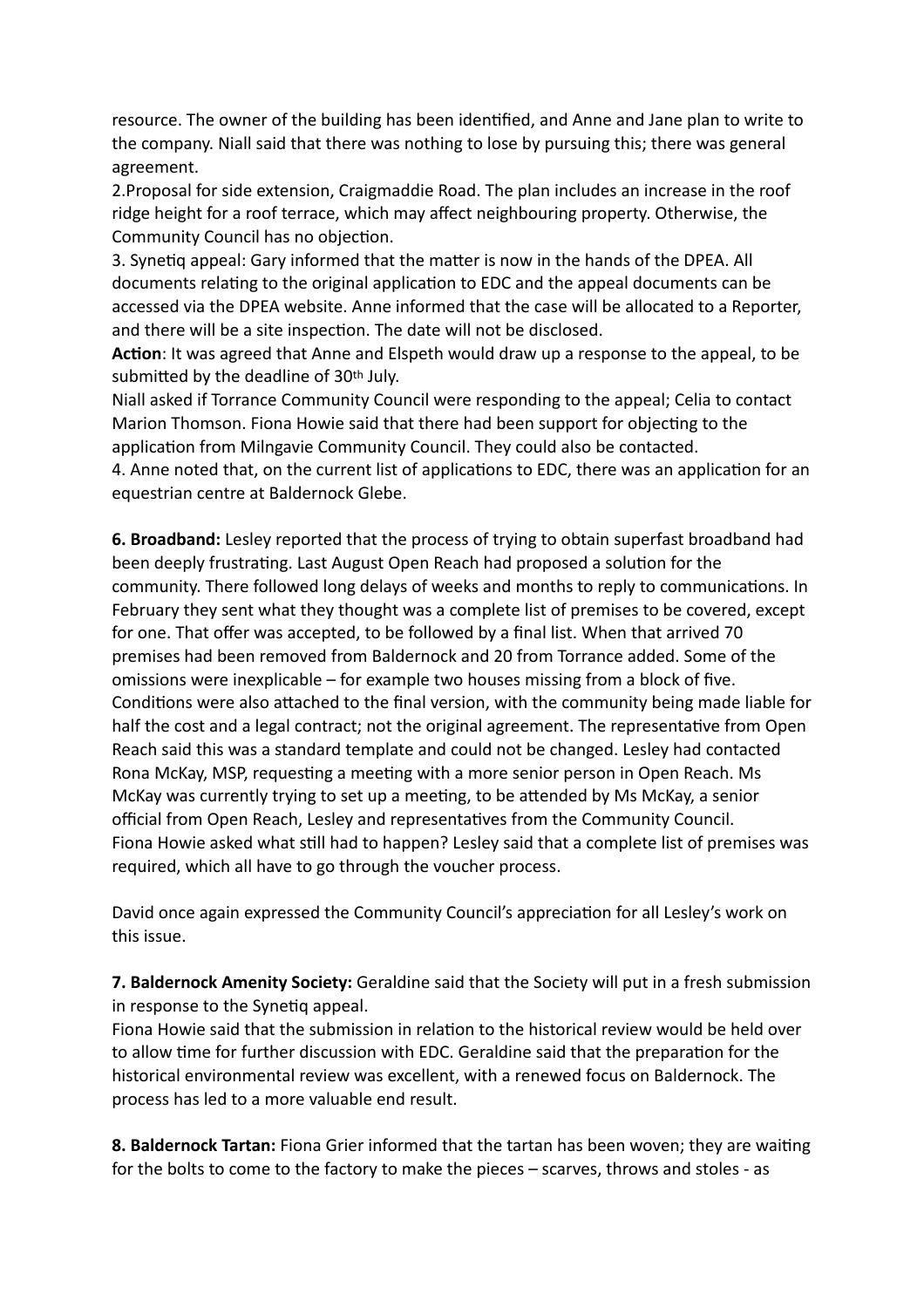resource. The owner of the building has been identified, and Anne and Jane plan to write to the company. Niall said that there was nothing to lose by pursuing this; there was general agreement.

2.Proposal for side extension, Craigmaddie Road. The plan includes an increase in the roof ridge height for a roof terrace, which may affect neighbouring property. Otherwise, the Community Council has no objection.

3. Synetig appeal: Gary informed that the matter is now in the hands of the DPEA. All documents relating to the original application to EDC and the appeal documents can be accessed via the DPEA website. Anne informed that the case will be allocated to a Reporter, and there will be a site inspection. The date will not be disclosed.

Action: It was agreed that Anne and Elspeth would draw up a response to the appeal, to be submitted by the deadline of 30<sup>th</sup> July.

Niall asked if Torrance Community Council were responding to the appeal; Celia to contact Marion Thomson. Fiona Howie said that there had been support for objecting to the application from Milngavie Community Council. They could also be contacted.

4. Anne noted that, on the current list of applications to EDC, there was an application for an equestrian centre at Baldernock Glebe.

**6. Broadband:** Lesley reported that the process of trying to obtain superfast broadband had been deeply frustrating. Last August Open Reach had proposed a solution for the community. There followed long delays of weeks and months to reply to communications. In February they sent what they thought was a complete list of premises to be covered, except for one. That offer was accepted, to be followed by a final list. When that arrived 70 premises had been removed from Baldernock and 20 from Torrance added. Some of the omissions were inexplicable – for example two houses missing from a block of five. Conditions were also attached to the final version, with the community being made liable for half the cost and a legal contract; not the original agreement. The representative from Open Reach said this was a standard template and could not be changed. Lesley had contacted Rona McKay, MSP, requesting a meeting with a more senior person in Open Reach. Ms McKay was currently trying to set up a meeting, to be attended by Ms McKay, a senior official from Open Reach, Lesley and representatives from the Community Council. Fiona Howie asked what still had to happen? Lesley said that a complete list of premises was required, which all have to go through the voucher process.

David once again expressed the Community Council's appreciation for all Lesley's work on this issue.

**7. Baldernock Amenity Society:** Geraldine said that the Society will put in a fresh submission in response to the Synetiq appeal.

Fiona Howie said that the submission in relation to the historical review would be held over to allow time for further discussion with EDC. Geraldine said that the preparation for the historical environmental review was excellent, with a renewed focus on Baldernock. The process has led to a more valuable end result.

**8. Baldernock Tartan:** Fiona Grier informed that the tartan has been woven; they are waiting for the bolts to come to the factory to make the pieces – scarves, throws and stoles - as